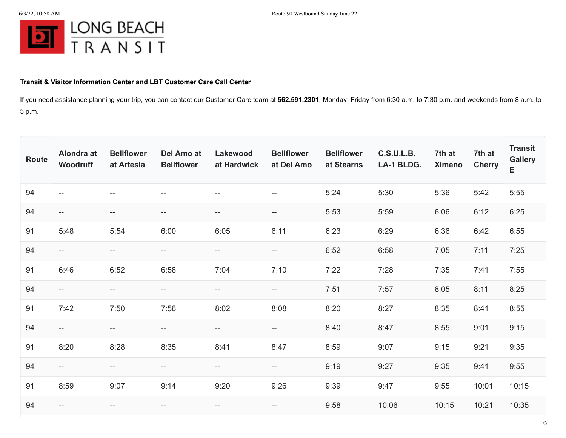

## **Transit & Visitor Information Center and LBT Customer Care Call Center**

If you need assistance planning your trip, you can contact our Customer Care team at **562.591.2301**, Monday–Friday from 6:30 a.m. to 7:30 p.m. and weekends from 8 a.m. to 5 p.m.

| <b>Route</b> | Alondra at<br>Woodruff   | <b>Bellflower</b><br>at Artesia | <b>Del Amo at</b><br><b>Bellflower</b>              | Lakewood<br>at Hardwick | <b>Bellflower</b><br>at Del Amo    | <b>Bellflower</b><br>at Stearns | <b>C.S.U.L.B.</b><br>LA-1 BLDG. | 7th at<br><b>Ximeno</b> | 7th at<br><b>Cherry</b> | <b>Transit</b><br><b>Gallery</b><br>E |
|--------------|--------------------------|---------------------------------|-----------------------------------------------------|-------------------------|------------------------------------|---------------------------------|---------------------------------|-------------------------|-------------------------|---------------------------------------|
| 94           | $- -$                    | --                              | $- -$                                               | --                      | --                                 | 5:24                            | 5:30                            | 5:36                    | 5:42                    | 5:55                                  |
| 94           | $\overline{\phantom{a}}$ | $--$                            | $\hspace{0.05cm} -\hspace{0.05cm} -\hspace{0.05cm}$ | --                      | $-\!$                              | 5:53                            | 5:59                            | 6:06                    | 6:12                    | 6:25                                  |
| 91           | 5:48                     | 5:54                            | 6:00                                                | 6:05                    | 6:11                               | 6:23                            | 6:29                            | 6:36                    | 6:42                    | 6:55                                  |
| 94           | $\qquad \qquad -$        | --                              | $-\!$ $\!-$                                         | $--$                    | $-\!$                              | 6:52                            | 6:58                            | 7:05                    | 7:11                    | 7:25                                  |
| 91           | 6:46                     | 6:52                            | 6:58                                                | 7:04                    | 7:10                               | 7:22                            | 7:28                            | 7:35                    | 7:41                    | 7:55                                  |
| 94           | $- -$                    | $\overline{\phantom{a}}$        | $\hspace{0.05cm}$ $\hspace{0.05cm}$                 | $- -$                   | $\hspace{0.05cm} -\hspace{0.05cm}$ | 7:51                            | 7:57                            | 8:05                    | 8:11                    | 8:25                                  |
| 91           | 7:42                     | 7:50                            | 7:56                                                | 8:02                    | 8:08                               | 8:20                            | 8:27                            | 8:35                    | 8:41                    | 8:55                                  |
| 94           | $--$                     | --                              | $-\!$ $\!-$                                         | --                      | --                                 | 8:40                            | 8:47                            | 8:55                    | 9:01                    | 9:15                                  |
| 91           | 8:20                     | 8:28                            | 8:35                                                | 8:41                    | 8:47                               | 8:59                            | 9:07                            | 9:15                    | 9:21                    | 9:35                                  |
| 94           | $--$                     | $-\!$                           | $\hspace{0.05cm} -\hspace{0.05cm} -\hspace{0.05cm}$ | --                      | $-\!$                              | 9:19                            | 9:27                            | 9:35                    | 9:41                    | 9:55                                  |
| 91           | 8:59                     | 9:07                            | 9:14                                                | 9:20                    | 9:26                               | 9:39                            | 9:47                            | 9:55                    | 10:01                   | 10:15                                 |
| 94           | --                       | --                              | --                                                  | $- -$                   | --                                 | 9:58                            | 10:06                           | 10:15                   | 10:21                   | 10:35                                 |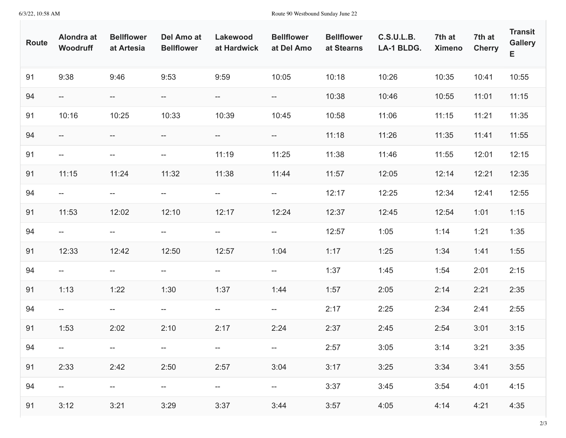6/3/22, 10:58 AM Route 90 Westbound Sunday June 22

| <b>Route</b> | Alondra at<br>Woodruff | <b>Bellflower</b><br>at Artesia    | Del Amo at<br><b>Bellflower</b> | Lakewood<br>at Hardwick  | <b>Bellflower</b><br>at Del Amo | <b>Bellflower</b><br>at Stearns | <b>C.S.U.L.B.</b><br>LA-1 BLDG. | 7th at<br><b>Ximeno</b> | 7th at<br><b>Cherry</b> | <b>Transit</b><br><b>Gallery</b><br>E. |
|--------------|------------------------|------------------------------------|---------------------------------|--------------------------|---------------------------------|---------------------------------|---------------------------------|-------------------------|-------------------------|----------------------------------------|
| 91           | 9:38                   | 9:46                               | 9:53                            | 9:59                     | 10:05                           | 10:18                           | 10:26                           | 10:35                   | 10:41                   | 10:55                                  |
| 94           | $- -$                  | $- -$                              | $--$                            | $\hspace{0.05cm} \dashv$ | $\overline{\phantom{a}}$        | 10:38                           | 10:46                           | 10:55                   | 11:01                   | 11:15                                  |
| 91           | 10:16                  | 10:25                              | 10:33                           | 10:39                    | 10:45                           | 10:58                           | 11:06                           | 11:15                   | 11:21                   | 11:35                                  |
| 94           | $--$                   | $--$                               | $--$                            | $- -$                    | $-\!$                           | 11:18                           | 11:26                           | 11:35                   | 11:41                   | 11:55                                  |
| 91           | $- -$                  | $-\!$                              | $- -$                           | 11:19                    | 11:25                           | 11:38                           | 11:46                           | 11:55                   | 12:01                   | 12:15                                  |
| 91           | 11:15                  | 11:24                              | 11:32                           | 11:38                    | 11:44                           | 11:57                           | 12:05                           | 12:14                   | 12:21                   | 12:35                                  |
| 94           | $- -$                  | $\overline{a}$                     | $--$                            | $\overline{\phantom{m}}$ | $\hspace{0.05cm} \dashv$        | 12:17                           | 12:25                           | 12:34                   | 12:41                   | 12:55                                  |
| 91           | 11:53                  | 12:02                              | 12:10                           | 12:17                    | 12:24                           | 12:37                           | 12:45                           | 12:54                   | 1:01                    | 1:15                                   |
| 94           | $- -$                  | $- -$                              | --                              | $\overline{\phantom{a}}$ | $\overline{\phantom{a}}$        | 12:57                           | 1:05                            | 1:14                    | 1:21                    | 1:35                                   |
| 91           | 12:33                  | 12:42                              | 12:50                           | 12:57                    | 1:04                            | 1:17                            | 1:25                            | 1:34                    | 1:41                    | 1:55                                   |
| 94           | $ -$                   | $\overline{a}$                     | $--$                            | $\overline{\phantom{m}}$ | $\hspace{0.05cm} \dashv$        | 1:37                            | 1:45                            | 1:54                    | 2:01                    | 2:15                                   |
| 91           | 1:13                   | 1:22                               | 1:30                            | 1:37                     | 1:44                            | 1:57                            | 2:05                            | 2:14                    | 2:21                    | 2:35                                   |
| 94           | $- -$                  | $- -$                              | $\overline{\phantom{a}}$        | $\hspace{0.05cm} \dashv$ | $-\!$                           | 2:17                            | 2:25                            | 2:34                    | 2:41                    | 2:55                                   |
| 91           | 1:53                   | 2:02                               | 2:10                            | 2:17                     | 2:24                            | 2:37                            | 2:45                            | 2:54                    | 3:01                    | 3:15                                   |
| 94           |                        |                                    |                                 |                          |                                 | 2:57                            | 3:05                            | 3:14                    | 3:21                    | 3:35                                   |
| 91           | 2:33                   | 2:42                               | 2:50                            | 2:57                     | 3:04                            | 3:17                            | 3:25                            | 3:34                    | 3:41                    | 3:55                                   |
| 94           | $- -$                  | $\hspace{0.05cm} -\hspace{0.05cm}$ | $-\!$                           | $-\!$ –                  | $-\!$                           | 3:37                            | 3:45                            | 3:54                    | 4:01                    | 4:15                                   |
| 91           | 3:12                   | 3:21                               | 3:29                            | 3:37                     | 3:44                            | 3:57                            | 4:05                            | 4:14                    | 4:21                    | 4:35                                   |